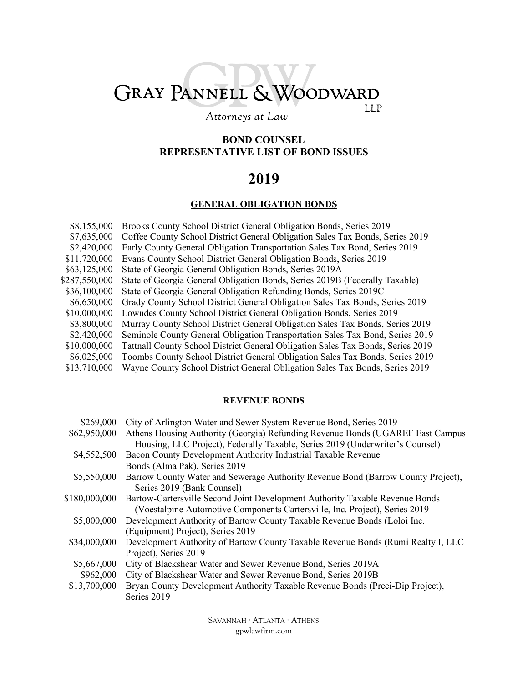# GRAY PANNELL & WOODWARD LLP

### Attorneys at Law

### **BOND COUNSEL REPRESENTATIVE LIST OF BOND ISSUES**

# **2019**

### **GENERAL OBLIGATION BONDS**

| \$8,155,000   | Brooks County School District General Obligation Bonds, Series 2019             |
|---------------|---------------------------------------------------------------------------------|
| \$7,635,000   | Coffee County School District General Obligation Sales Tax Bonds, Series 2019   |
| \$2,420,000   | Early County General Obligation Transportation Sales Tax Bond, Series 2019      |
| \$11,720,000  | Evans County School District General Obligation Bonds, Series 2019              |
| \$63,125,000  | State of Georgia General Obligation Bonds, Series 2019A                         |
| \$287,550,000 | State of Georgia General Obligation Bonds, Series 2019B (Federally Taxable)     |
| \$36,100,000  | State of Georgia General Obligation Refunding Bonds, Series 2019C               |
| \$6,650,000   | Grady County School District General Obligation Sales Tax Bonds, Series 2019    |
| \$10,000,000  | Lowndes County School District General Obligation Bonds, Series 2019            |
| \$3,800,000   | Murray County School District General Obligation Sales Tax Bonds, Series 2019   |
| \$2,420,000   | Seminole County General Obligation Transportation Sales Tax Bond, Series 2019   |
| \$10,000,000  | Tattnall County School District General Obligation Sales Tax Bonds, Series 2019 |
| \$6,025,000   | Toombs County School District General Obligation Sales Tax Bonds, Series 2019   |
| \$13,710,000  | Wayne County School District General Obligation Sales Tax Bonds, Series 2019    |

#### **REVENUE BONDS**

| \$269,000     | City of Arlington Water and Sewer System Revenue Bond, Series 2019               |
|---------------|----------------------------------------------------------------------------------|
| \$62,950,000  | Athens Housing Authority (Georgia) Refunding Revenue Bonds (UGAREF East Campus   |
|               | Housing, LLC Project), Federally Taxable, Series 2019 (Underwriter's Counsel)    |
| \$4,552,500   | Bacon County Development Authority Industrial Taxable Revenue                    |
|               | Bonds (Alma Pak), Series 2019                                                    |
| \$5,550,000   | Barrow County Water and Sewerage Authority Revenue Bond (Barrow County Project), |
|               | Series 2019 (Bank Counsel)                                                       |
| \$180,000,000 | Bartow-Cartersville Second Joint Development Authority Taxable Revenue Bonds     |
|               | (Voestalpine Automotive Components Cartersville, Inc. Project), Series 2019      |
| \$5,000,000   | Development Authority of Bartow County Taxable Revenue Bonds (Loloi Inc.         |
|               | (Equipment) Project), Series 2019                                                |
| \$34,000,000  | Development Authority of Bartow County Taxable Revenue Bonds (Rumi Realty I, LLC |
|               | Project), Series 2019                                                            |
| \$5,667,000   | City of Blackshear Water and Sewer Revenue Bond, Series 2019A                    |
| \$962,000     | City of Blackshear Water and Sewer Revenue Bond, Series 2019B                    |
| \$13,700,000  | Bryan County Development Authority Taxable Revenue Bonds (Preci-Dip Project),    |
|               | Series 2019                                                                      |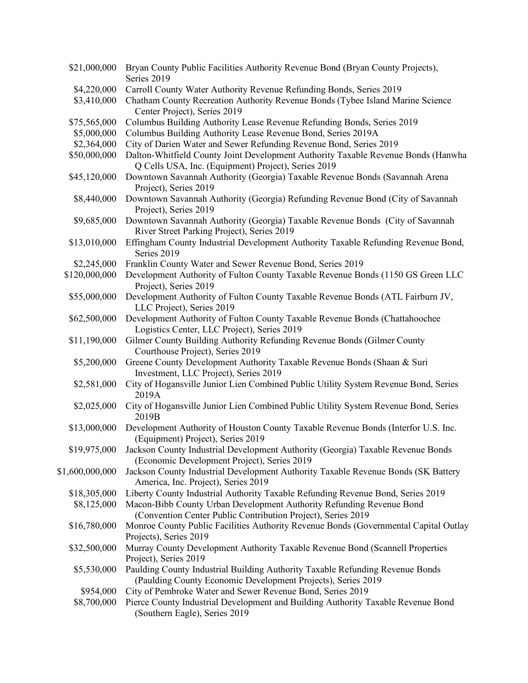| \$21,000,000    | Bryan County Public Facilities Authority Revenue Bond (Bryan County Projects),<br>Series 2019 |
|-----------------|-----------------------------------------------------------------------------------------------|
| \$4,220,000     | Carroll County Water Authority Revenue Refunding Bonds, Series 2019                           |
| \$3,410,000     | Chatham County Recreation Authority Revenue Bonds (Tybee Island Marine Science                |
|                 | Center Project), Series 2019                                                                  |
| \$75,565,000    | Columbus Building Authority Lease Revenue Refunding Bonds, Series 2019                        |
| \$5,000,000     | Columbus Building Authority Lease Revenue Bond, Series 2019A                                  |
|                 |                                                                                               |
| \$2,364,000     | City of Darien Water and Sewer Refunding Revenue Bond, Series 2019                            |
| \$50,000,000    | Dalton-Whitfield County Joint Development Authority Taxable Revenue Bonds (Hanwha             |
|                 | Q Cells USA, Inc. (Equipment) Project), Series 2019                                           |
| \$45,120,000    | Downtown Savannah Authority (Georgia) Taxable Revenue Bonds (Savannah Arena                   |
|                 | Project), Series 2019                                                                         |
| \$8,440,000     | Downtown Savannah Authority (Georgia) Refunding Revenue Bond (City of Savannah                |
|                 | Project), Series 2019                                                                         |
| \$9,685,000     | Downtown Savannah Authority (Georgia) Taxable Revenue Bonds (City of Savannah                 |
|                 | River Street Parking Project), Series 2019                                                    |
| \$13,010,000    | Effingham County Industrial Development Authority Taxable Refunding Revenue Bond,             |
|                 | Series 2019                                                                                   |
| \$2,245,000     | Franklin County Water and Sewer Revenue Bond, Series 2019                                     |
| \$120,000,000   | Development Authority of Fulton County Taxable Revenue Bonds (1150 GS Green LLC               |
|                 | Project), Series 2019                                                                         |
| \$55,000,000    | Development Authority of Fulton County Taxable Revenue Bonds (ATL Fairburn JV,                |
|                 | LLC Project), Series 2019                                                                     |
| \$62,500,000    | Development Authority of Fulton County Taxable Revenue Bonds (Chattahoochee                   |
|                 | Logistics Center, LLC Project), Series 2019                                                   |
| \$11,190,000    | Gilmer County Building Authority Refunding Revenue Bonds (Gilmer County                       |
|                 | Courthouse Project), Series 2019                                                              |
| \$5,200,000     | Greene County Development Authority Taxable Revenue Bonds (Shaan & Suri                       |
|                 |                                                                                               |
|                 | Investment, LLC Project), Series 2019                                                         |
| \$2,581,000     | City of Hogansville Junior Lien Combined Public Utility System Revenue Bond, Series           |
|                 | 2019A                                                                                         |
| \$2,025,000     | City of Hogansville Junior Lien Combined Public Utility System Revenue Bond, Series           |
|                 | 2019B                                                                                         |
| \$13,000,000    | Development Authority of Houston County Taxable Revenue Bonds (Interfor U.S. Inc.             |
|                 | (Equipment) Project), Series 2019                                                             |
|                 | \$19,975,000 Jackson County Industrial Development Authority (Georgia) Taxable Revenue Bonds  |
|                 | (Economic Development Project), Series 2019                                                   |
| \$1,600,000,000 | Jackson County Industrial Development Authority Taxable Revenue Bonds (SK Battery             |
|                 | America, Inc. Project), Series 2019                                                           |
| \$18,305,000    | Liberty County Industrial Authority Taxable Refunding Revenue Bond, Series 2019               |
| \$8,125,000     | Macon-Bibb County Urban Development Authority Refunding Revenue Bond                          |
|                 | (Convention Center Public Contribution Project), Series 2019                                  |
| \$16,780,000    | Monroe County Public Facilities Authority Revenue Bonds (Governmental Capital Outlay          |
|                 | Projects), Series 2019                                                                        |
| \$32,500,000    | Murray County Development Authority Taxable Revenue Bond (Scannell Properties                 |
|                 | Project), Series 2019                                                                         |
| \$5,530,000     | Paulding County Industrial Building Authority Taxable Refunding Revenue Bonds                 |
|                 | (Paulding County Economic Development Projects), Series 2019                                  |
| \$954,000       | City of Pembroke Water and Sewer Revenue Bond, Series 2019                                    |
|                 |                                                                                               |
| \$8,700,000     | Pierce County Industrial Development and Building Authority Taxable Revenue Bond              |
|                 | (Southern Eagle), Series 2019                                                                 |